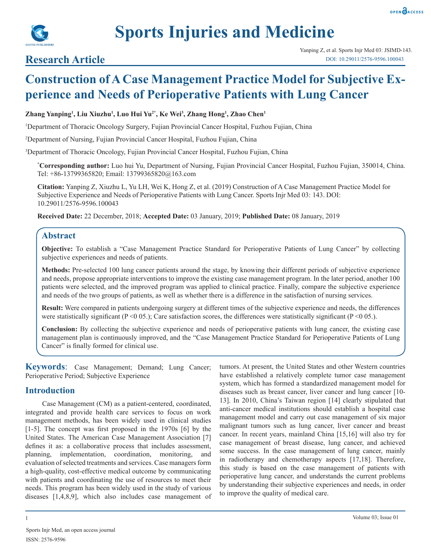

## **Research Article**

# **Construction of A Case Management Practice Model for Subjective Experience and Needs of Perioperative Patients with Lung Cancer**

#### **Zhang Yanping1 , Liu Xiuzhu1 , Luo Hui Yu2\*, Ke Wei3 , Zhang Hong1 , Zhao Chen1**

1 Department of Thoracic Oncology Surgery, Fujian Provincial Cancer Hospital, Fuzhou Fujian, China

2 Department of Nursing, Fujian Provincial Cancer Hospital, Fuzhou Fujian, China

3 Department of Thoracic Oncology, Fujian Provincial Cancer Hospital, Fuzhou Fujian, China

**\* Corresponding author:** Luo hui Yu, Department of Nursing, Fujian Provincial Cancer Hospital, Fuzhou Fujian, 350014, China. Tel: +86-13799365820; Email: 13799365820@163.com

**Citation:** Yanping Z, Xiuzhu L, Yu LH, Wei K, Hong Z, et al. (2019) Construction of A Case Management Practice Model for Subjective Experience and Needs of Perioperative Patients with Lung Cancer. Sports Injr Med 03: 143. DOI: 10.29011/2576-9596.100043

**Received Date:** 22 December, 2018; **Accepted Date:** 03 January, 2019; **Published Date:** 08 January, 2019

## **Abstract**

**Objective:** To establish a "Case Management Practice Standard for Perioperative Patients of Lung Cancer" by collecting subjective experiences and needs of patients.

**Methods:** Pre-selected 100 lung cancer patients around the stage, by knowing their different periods of subjective experience and needs, propose appropriate interventions to improve the existing case management program. In the later period, another 100 patients were selected, and the improved program was applied to clinical practice. Finally, compare the subjective experience and needs of the two groups of patients, as well as whether there is a difference in the satisfaction of nursing services.

**Result:** Were compared in patients undergoing surgery at different times of the subjective experience and needs, the differences were statistically significant ( $P < 0.05$ .); Care satisfaction scores, the differences were statistically significant ( $P < 0.05$ .).

**Conclusion:** By collecting the subjective experience and needs of perioperative patients with lung cancer, the existing case management plan is continuously improved, and the "Case Management Practice Standard for Perioperative Patients of Lung Cancer" is finally formed for clinical use.

**Keywords**: Case Management; Demand; Lung Cancer; Perioperative Period; Subjective Experience

## **Introduction**

Case Management (CM) as a patient-centered, coordinated, integrated and provide health care services to focus on work management methods, has been widely used in clinical studies [1-5]. The concept was first proposed in the 1970s [6] by the United States. The American Case Management Association [7] defines it as: a collaborative process that includes assessment, planning, implementation, coordination, monitoring, and evaluation of selected treatments and services. Case managers form a high-quality, cost-effective medical outcome by communicating with patients and coordinating the use of resources to meet their needs. This program has been widely used in the study of various diseases [1,4,8,9], which also includes case management of tumors. At present, the United States and other Western countries have established a relatively complete tumor case management system, which has formed a standardized management model for diseases such as breast cancer, liver cancer and lung cancer [10- 13]. In 2010, China's Taiwan region [14] clearly stipulated that anti-cancer medical institutions should establish a hospital case management model and carry out case management of six major malignant tumors such as lung cancer, liver cancer and breast cancer. In recent years, mainland China [15,16] will also try for case management of breast disease, lung cancer, and achieved some success. In the case management of lung cancer, mainly in radiotherapy and chemotherapy aspects [17,18]. Therefore, this study is based on the case management of patients with perioperative lung cancer, and understands the current problems by understanding their subjective experiences and needs, in order to improve the quality of medical care.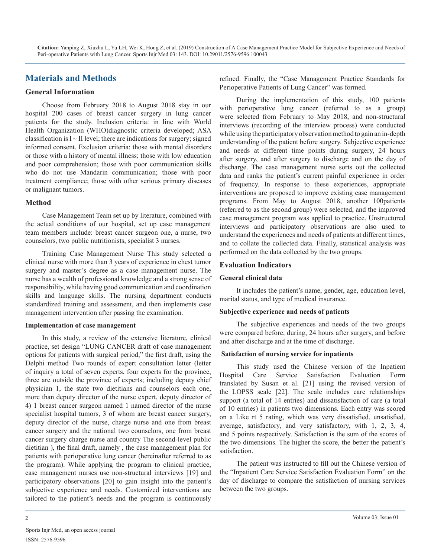## **Materials and Methods**

#### **General Information**

Choose from February 2018 to August 2018 stay in our hospital 200 cases of breast cancer surgery in lung cancer patients for the study. Inclusion criteria: in line with World Health Organization (WHO)diagnostic criteria developed; ASA classification is  $I \sim II$  level; there are indications for surgery; signed informed consent. Exclusion criteria: those with mental disorders or those with a history of mental illness; those with low education and poor comprehension; those with poor communication skills who do not use Mandarin communication; those with poor treatment compliance; those with other serious primary diseases or malignant tumors.

#### **Method**

Case Management Team set up by literature, combined with the actual conditions of our hospital, set up case management team members include: breast cancer surgeon one, a nurse, two counselors, two public nutritionists, specialist 3 nurses.

Training Case Management Nurse This study selected a clinical nurse with more than 3 years of experience in chest tumor surgery and master's degree as a case management nurse. The nurse has a wealth of professional knowledge and a strong sense of responsibility, while having good communication and coordination skills and language skills. The nursing department conducts standardized training and assessment, and then implements case management intervention after passing the examination.

#### **Implementation of case management**

In this study, a review of the extensive literature, clinical practice, set design "LUNG CANCER draft of case management options for patients with surgical period," the first draft, using the Delphi method Two rounds of expert consultation letter (letter of inquiry a total of seven experts, four experts for the province, three are outside the province of experts; including deputy chief physician 1, the state two dietitians and counselors each one, more than deputy director of the nurse expert, deputy director of 4) 1 breast cancer surgeon named 1 named director of the nurse specialist hospital tumors, 3 of whom are breast cancer surgery, deputy director of the nurse, charge nurse and one from breast cancer surgery and the national two counselors, one from breast cancer surgery charge nurse and country The second-level public dietitian ), the final draft, namely , the case management plan for patients with perioperative lung cancer (hereinafter referred to as the program). While applying the program to clinical practice, case management nurses use non-structural interviews [19] and participatory observations [20] to gain insight into the patient's subjective experience and needs. Customized interventions are tailored to the patient's needs and the program is continuously

refined. Finally, the "Case Management Practice Standards for Perioperative Patients of Lung Cancer" was formed.

During the implementation of this study, 100 patients with perioperative lung cancer (referred to as a group) were selected from February to May 2018, and non-structural interviews (recording of the interview process) were conducted while using the participatory observation method to gain an in-depth understanding of the patient before surgery. Subjective experience and needs at different time points during surgery, 24 hours after surgery, and after surgery to discharge and on the day of discharge. The case management nurse sorts out the collected data and ranks the patient's current painful experience in order of frequency. In response to these experiences, appropriate interventions are proposed to improve existing case management programs. From May to August 2018, another 100patients (referred to as the second group) were selected, and the improved case management program was applied to practice. Unstructured interviews and participatory observations are also used to understand the experiences and needs of patients at different times, and to collate the collected data. Finally, statistical analysis was performed on the data collected by the two groups.

#### **Evaluation Indicators**

#### **General clinical data**

It includes the patient's name, gender, age, education level, marital status, and type of medical insurance.

#### **Subjective experience and needs of patients**

The subjective experiences and needs of the two groups were compared before, during, 24 hours after surgery, and before and after discharge and at the time of discharge.

#### **Satisfaction of nursing service for inpatients**

This study used the Chinese version of the Inpatient Hospital Care Service Satisfaction Evaluation Form translated by Susan et al. [21] using the revised version of the LOPSS scale [22]. The scale includes care relationships support (a total of 14 entries) and dissatisfaction of care (a total of 10 entries) in patients two dimensions. Each entry was scored on a Like rt 5 rating, which was very dissatisfied, unsatisfied, average, satisfactory, and very satisfactory, with 1, 2, 3, 4, and 5 points respectively. Satisfaction is the sum of the scores of the two dimensions. The higher the score, the better the patient's satisfaction.

The patient was instructed to fill out the Chinese version of the "Inpatient Care Service Satisfaction Evaluation Form" on the day of discharge to compare the satisfaction of nursing services between the two groups.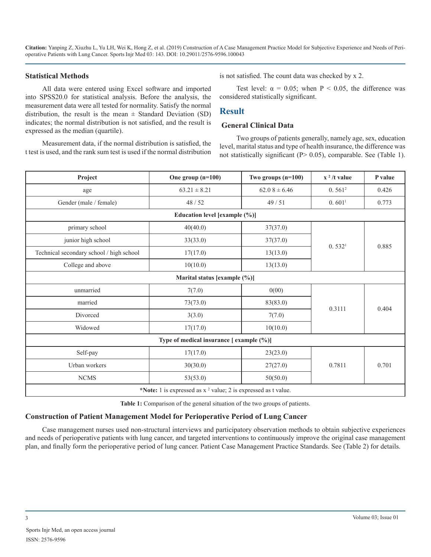#### **Statistical Methods**

All data were entered using Excel software and imported into SPSS20.0 for statistical analysis. Before the analysis, the measurement data were all tested for normality. Satisfy the normal distribution, the result is the mean  $\pm$  Standard Deviation (SD) indicates; the normal distribution is not satisfied, and the result is expressed as the median (quartile).

Measurement data, if the normal distribution is satisfied, the t test is used, and the rank sum test is used if the normal distribution is not satisfied. The count data was checked by x 2.

Test level:  $\alpha = 0.05$ ; when P < 0.05, the difference was considered statistically significant.

#### **Result**

#### **General Clinical Data**

Two groups of patients generally, namely age, sex, education level, marital status and type of health insurance, the difference was not statistically significant (P> 0.05), comparable. See (Table 1).

| Project                                                          | One group $(n=100)$           | Two groups $(n=100)$ | $x^2/t$ value      | P value |  |  |  |
|------------------------------------------------------------------|-------------------------------|----------------------|--------------------|---------|--|--|--|
| age                                                              | $63.21 \pm 8.21$              | $62.08 \pm 6.46$     | 0.561 <sup>2</sup> | 0.426   |  |  |  |
| Gender (male / female)                                           | 48/52                         | 49/51                | 0.601 <sup>1</sup> | 0.773   |  |  |  |
|                                                                  | Education level [example (%)] |                      |                    |         |  |  |  |
| primary school                                                   | 40(40.0)                      | 37(37.0)             |                    |         |  |  |  |
| junior high school                                               | 33(33.0)                      | 37(37.0)             | 0.532 <sup>1</sup> | 0.885   |  |  |  |
| Technical secondary school / high school                         | 17(17.0)                      | 13(13.0)             |                    |         |  |  |  |
| College and above                                                | 10(10.0)                      | 13(13.0)             |                    |         |  |  |  |
|                                                                  | Marital status [example (%)]  |                      |                    |         |  |  |  |
| unmarried                                                        | 7(7.0)                        | 0(00)                |                    |         |  |  |  |
| married                                                          | 73(73.0)                      | 83(83.0)             | 0.3111             | 0.404   |  |  |  |
| Divorced                                                         | 3(3.0)                        | 7(7.0)               |                    |         |  |  |  |
| Widowed                                                          | 17(17.0)                      | 10(10.0)             |                    |         |  |  |  |
| Type of medical insurance [example (%)]                          |                               |                      |                    |         |  |  |  |
| Self-pay                                                         | 17(17.0)                      | 23(23.0)             |                    |         |  |  |  |
| Urban workers                                                    | 30(30.0)                      | 27(27.0)             | 0.7811             | 0.701   |  |  |  |
| ${\rm NCMS}$                                                     | 53(53.0)                      | 50(50.0)             |                    |         |  |  |  |
| *Note: 1 is expressed as $x^2$ value; 2 is expressed as t value. |                               |                      |                    |         |  |  |  |

**Table 1:** Comparison of the general situation of the two groups of patients.

#### **Construction of Patient Management Model for Perioperative Period of Lung Cancer**

Case management nurses used non-structural interviews and participatory observation methods to obtain subjective experiences and needs of perioperative patients with lung cancer, and targeted interventions to continuously improve the original case management plan, and finally form the perioperative period of lung cancer. Patient Case Management Practice Standards. See (Table 2) for details.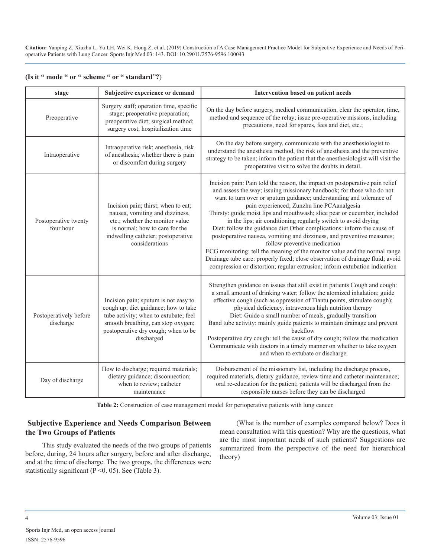| stage                               | Subjective experience or demand                                                                                                                                                                                  | Intervention based on patient needs                                                                                                                                                                                                                                                                                                                                                                                                                                                                                                                                                                                                                                                                                                                                                                                                                           |
|-------------------------------------|------------------------------------------------------------------------------------------------------------------------------------------------------------------------------------------------------------------|---------------------------------------------------------------------------------------------------------------------------------------------------------------------------------------------------------------------------------------------------------------------------------------------------------------------------------------------------------------------------------------------------------------------------------------------------------------------------------------------------------------------------------------------------------------------------------------------------------------------------------------------------------------------------------------------------------------------------------------------------------------------------------------------------------------------------------------------------------------|
| Preoperative                        | Surgery staff; operation time, specific<br>stage; preoperative preparation;<br>preoperative diet; surgical method;<br>surgery cost; hospitalization time                                                         | On the day before surgery, medical communication, clear the operator, time,<br>method and sequence of the relay; issue pre-operative missions, including<br>precautions, need for spares, fees and diet, etc.;                                                                                                                                                                                                                                                                                                                                                                                                                                                                                                                                                                                                                                                |
| Intraoperative                      | Intraoperative risk; anesthesia, risk<br>of anesthesia; whether there is pain<br>or discomfort during surgery                                                                                                    | On the day before surgery, communicate with the anesthesiologist to<br>understand the anesthesia method, the risk of anesthesia and the preventive<br>strategy to be taken; inform the patient that the anesthesiologist will visit the<br>preoperative visit to solve the doubts in detail.                                                                                                                                                                                                                                                                                                                                                                                                                                                                                                                                                                  |
| Postoperative twenty<br>four hour   | Incision pain; thirst; when to eat;<br>nausea, vomiting and dizziness,<br>etc.; whether the monitor value<br>is normal; how to care for the<br>indwelling catheter; postoperative<br>considerations              | Incision pain: Pain told the reason, the impact on postoperative pain relief<br>and assess the way; issuing missionary handbook; for those who do not<br>want to turn over or sputum guidance; understanding and tolerance of<br>pain experienced; Zunzhu line PCAanalgesia<br>Thirsty: guide moist lips and mouthwash; slice pear or cucumber, included<br>in the lips; air conditioning regularly switch to avoid drying<br>Diet: follow the guidance diet Other complications: inform the cause of<br>postoperative nausea, vomiting and dizziness, and preventive measures;<br>follow preventive medication<br>ECG monitoring: tell the meaning of the monitor value and the normal range<br>Drainage tube care: properly fixed; close observation of drainage fluid; avoid<br>compression or distortion; regular extrusion; inform extubation indication |
| Postoperatively before<br>discharge | Incision pain; sputum is not easy to<br>cough up; diet guidance; how to take<br>tube activity; when to extubate; feel<br>smooth breathing, can stop oxygen;<br>postoperative dry cough; when to be<br>discharged | Strengthen guidance on issues that still exist in patients Cough and cough:<br>a small amount of drinking water; follow the atomized inhalation; guide<br>effective cough (such as oppression of Tiantu points, stimulate cough);<br>physical deficiency, intravenous high nutrition therapy<br>Diet: Guide a small number of meals, gradually transition<br>Band tube activity: mainly guide patients to maintain drainage and prevent<br>backflow<br>Postoperative dry cough: tell the cause of dry cough; follow the medication<br>Communicate with doctors in a timely manner on whether to take oxygen<br>and when to extubate or discharge                                                                                                                                                                                                              |
| Day of discharge                    | How to discharge; required materials;<br>dietary guidance; disconnection;<br>when to review; catheter<br>maintenance                                                                                             | Disbursement of the missionary list, including the discharge process,<br>required materials, dietary guidance, review time and catheter maintenance;<br>oral re-education for the patient; patients will be discharged from the<br>responsible nurses before they can be discharged                                                                                                                                                                                                                                                                                                                                                                                                                                                                                                                                                                           |

|  |  |  |  |  | (Is it " mode " or " scheme " or " standard"?) |  |
|--|--|--|--|--|------------------------------------------------|--|
|--|--|--|--|--|------------------------------------------------|--|

**Table 2:** Construction of case management model for perioperative patients with lung cancer.

## **Subjective Experience and Needs Comparison Between the Two Groups of Patients**

This study evaluated the needs of the two groups of patients before, during, 24 hours after surgery, before and after discharge, and at the time of discharge. The two groups, the differences were statistically significant ( $P \le 0.05$ ). See (Table 3).

(What is the number of examples compared below? Does it mean consultation with this question? Why are the questions, what are the most important needs of such patients? Suggestions are summarized from the perspective of the need for hierarchical theory)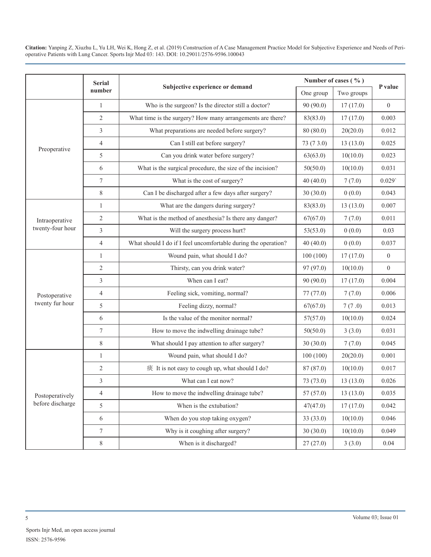|                                     | <b>Serial</b>  |                                                                | Number of cases $(\% )$ |            |                  |  |
|-------------------------------------|----------------|----------------------------------------------------------------|-------------------------|------------|------------------|--|
|                                     | number         | Subjective experience or demand                                | One group               | Two groups | P value          |  |
|                                     | $\mathbf{1}$   | Who is the surgeon? Is the director still a doctor?            | 90(90.0)                | 17(17.0)   | $\boldsymbol{0}$ |  |
|                                     | $\overline{2}$ | What time is the surgery? How many arrangements are there?     | 83(83.0)                | 17(17.0)   | 0.003            |  |
|                                     | 3              | What preparations are needed before surgery?                   | 80(80.0)                | 20(20.0)   | 0.012            |  |
|                                     | $\overline{4}$ | Can I still eat before surgery?                                | 73 (7 3.0)              | 13(13.0)   | 0.025            |  |
| Preoperative                        | 5              | Can you drink water before surgery?                            | 63(63.0)                | 10(10.0)   | 0.023            |  |
|                                     | 6              | What is the surgical procedure, the size of the incision?      | 50(50.0)                | 10(10.0)   | 0.031            |  |
|                                     | 7              | What is the cost of surgery?                                   | 40(40.0)                | 7(7.0)     | 0.029            |  |
|                                     | $8\,$          | Can I be discharged after a few days after surgery?            | 30(30.0)                | 0(0.0)     | 0.043            |  |
|                                     | $\mathbf{1}$   | What are the dangers during surgery?                           | 83(83.0)                | 13(13.0)   | 0.007            |  |
| Intraoperative                      | $\sqrt{2}$     | What is the method of anesthesia? Is there any danger?         | 67(67.0)                | 7(7.0)     | 0.011            |  |
| twenty-four hour                    | 3              | Will the surgery process hurt?                                 | 53(53.0)                | 0(0.0)     | 0.03             |  |
|                                     | $\overline{4}$ | What should I do if I feel uncomfortable during the operation? | 40(40.0)                | 0(0.0)     | 0.037            |  |
|                                     | $\mathbf{1}$   | Wound pain, what should I do?                                  | 100(100)                | 17(17.0)   | $\boldsymbol{0}$ |  |
|                                     | $\mathfrak{2}$ | Thirsty, can you drink water?                                  | 97 (97.0)               | 10(10.0)   | $\mathbf{0}$     |  |
|                                     | 3              | When can I eat?                                                | 90(90.0)                | 17(17.0)   | 0.004            |  |
| Postoperative                       | $\overline{4}$ | Feeling sick, vomiting, normal?                                | 77 (77.0)               | 7(7.0)     | 0.006            |  |
| twenty fur hour                     | 5              | Feeling dizzy, normal?                                         | 67(67.0)                | 7(7.0)     | 0.013            |  |
|                                     | 6              | Is the value of the monitor normal?                            | 57(57.0)                | 10(10.0)   | 0.024            |  |
|                                     | $\tau$         | How to move the indwelling drainage tube?                      | 50(50.0)                | 3(3.0)     | 0.031            |  |
|                                     | $\,8\,$        | What should I pay attention to after surgery?                  | 30(30.0)                | 7(7.0)     | 0.045            |  |
|                                     | $\mathbf{1}$   | Wound pain, what should I do?                                  | 100(100)                | 20(20.0)   | 0.001            |  |
|                                     | $\sqrt{2}$     | 痰 It is not easy to cough up, what should I do?                | 87 (87.0)               | 10(10.0)   | 0.017            |  |
| Postoperatively<br>before discharge | 3              | What can I eat now?                                            | 73 (73.0)               | 13(13.0)   | 0.026            |  |
|                                     | $\overline{4}$ | How to move the indwelling drainage tube?                      | 57(57.0)                | 13(13.0)   | 0.035            |  |
|                                     | 5              | When is the extubation?                                        | 47(47.0)                | 17(17.0)   | 0.042            |  |
|                                     | 6              | When do you stop taking oxygen?                                | 33(33.0)                | 10(10.0)   | 0.046            |  |
|                                     | 7              | Why is it coughing after surgery?                              | 30(30.0)                | 10(10.0)   | 0.049            |  |
|                                     | $8\,$          | When is it discharged?                                         | 27(27.0)                | 3(3.0)     | 0.04             |  |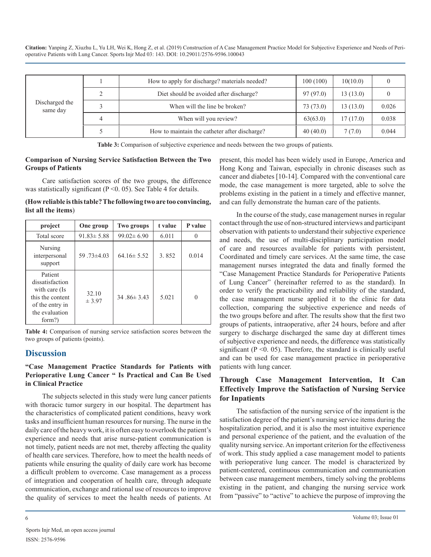| Discharged the<br>same day |                                         | How to apply for discharge? materials needed? | 100(100) | 10(10.0) |       |
|----------------------------|-----------------------------------------|-----------------------------------------------|----------|----------|-------|
|                            | Diet should be avoided after discharge? | 97(97.0)                                      | 13(13.0) |          |       |
|                            | When will the line be broken?           | 73 (73.0)                                     | 13(13.0) | 0.026    |       |
|                            |                                         | When will you review?                         | 63(63.0) | 17(17.0) | 0.038 |
|                            |                                         | How to maintain the catheter after discharge? | 40(40.0) | 7(7.0)   | 0.044 |

**Table 3:** Comparison of subjective experience and needs between the two groups of patients.

#### **Comparison of Nursing Service Satisfaction Between the Two Groups of Patients**

Care satisfaction scores of the two groups, the difference was statistically significant ( $P \le 0.05$ ). See Table 4 for details.

**(How reliable is this table? The following two are too convincing, list all the items**)

| project                                                                                                        | One group        | <b>Two groups</b> | t value | P value |
|----------------------------------------------------------------------------------------------------------------|------------------|-------------------|---------|---------|
| Total score                                                                                                    | $91.83 \pm 5.88$ | $99.02 \pm 6.90$  | 6.011   |         |
| Nursing<br>interpersonal<br>support                                                                            | 59.73±4.03       | $64.16 \pm 5.52$  | 3.852   | 0.014   |
| Patient<br>dissatisfaction<br>with care (Is<br>this the content<br>of the entry in<br>the evaluation<br>form?) | 32.10<br>± 3.97  | $34.86 \pm 3.43$  | 5.021   |         |

**Table 4:** Comparison of nursing service satisfaction scores between the two groups of patients (points).

## **Discussion**

#### **"Case Management Practice Standards for Patients with Perioperative Lung Cancer " Is Practical and Can Be Used in Clinical Practice**

The subjects selected in this study were lung cancer patients with thoracic tumor surgery in our hospital. The department has the characteristics of complicated patient conditions, heavy work tasks and insufficient human resources for nursing. The nurse in the daily care of the heavy work, it is often easy to overlook the patient's experience and needs that arise nurse-patient communication is not timely, patient needs are not met, thereby affecting the quality of health care services. Therefore, how to meet the health needs of patients while ensuring the quality of daily care work has become a difficult problem to overcome. Case management as a process of integration and cooperation of health care, through adequate communication, exchange and rational use of resources to improve the quality of services to meet the health needs of patients. At present, this model has been widely used in Europe, America and Hong Kong and Taiwan, especially in chronic diseases such as cancer and diabetes [10-14]. Compared with the conventional care mode, the case management is more targeted, able to solve the problems existing in the patient in a timely and effective manner, and can fully demonstrate the human care of the patients.

In the course of the study, case management nurses in regular contact through the use of non-structured interviews and participant observation with patients to understand their subjective experience and needs, the use of multi-disciplinary participation model of care and resources available for patients with persistent, Coordinated and timely care services. At the same time, the case management nurses integrated the data and finally formed the "Case Management Practice Standards for Perioperative Patients of Lung Cancer" (hereinafter referred to as the standard). In order to verify the practicability and reliability of the standard, the case management nurse applied it to the clinic for data collection, comparing the subjective experience and needs of the two groups before and after. The results show that the first two groups of patients, intraoperative, after 24 hours, before and after surgery to discharge discharged the same day at different times of subjective experience and needs, the difference was statistically significant  $(P \le 0.05)$ . Therefore, the standard is clinically useful and can be used for case management practice in perioperative patients with lung cancer.

## **Through Case Management Intervention, It Can Effectively Improve the Satisfaction of Nursing Service for Inpatients**

The satisfaction of the nursing service of the inpatient is the satisfaction degree of the patient's nursing service items during the hospitalization period, and it is also the most intuitive experience and personal experience of the patient, and the evaluation of the quality nursing service. An important criterion for the effectiveness of work. This study applied a case management model to patients with perioperative lung cancer. The model is characterized by patient-centered, continuous communication and communication between case management members, timely solving the problems existing in the patient, and changing the nursing service work from "passive" to "active" to achieve the purpose of improving the